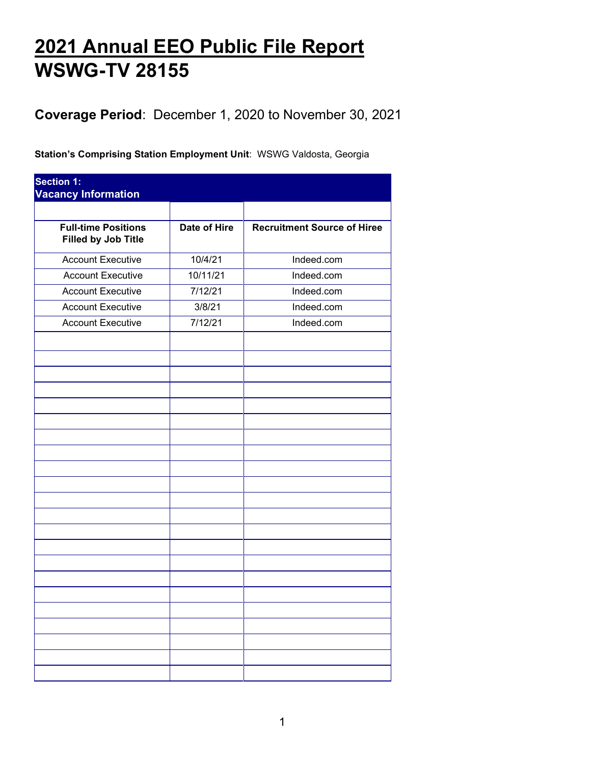## **2021 Annual EEO Public File Report WSWG-TV 28155**

**Coverage Period**: December 1, 2020 to November 30, 2021

**Station's Comprising Station Employment Unit**: WSWG Valdosta, Georgia

| <b>Section 1:</b><br><b>Vacancy Information</b>          |              |                                    |  |
|----------------------------------------------------------|--------------|------------------------------------|--|
|                                                          |              |                                    |  |
| <b>Full-time Positions</b><br><b>Filled by Job Title</b> | Date of Hire | <b>Recruitment Source of Hiree</b> |  |
| <b>Account Executive</b>                                 | 10/4/21      | Indeed.com                         |  |
| <b>Account Executive</b>                                 | 10/11/21     | Indeed.com                         |  |
| <b>Account Executive</b>                                 | 7/12/21      | Indeed.com                         |  |
| <b>Account Executive</b>                                 | 3/8/21       | Indeed.com                         |  |
| <b>Account Executive</b>                                 | 7/12/21      | Indeed.com                         |  |
|                                                          |              |                                    |  |
|                                                          |              |                                    |  |
|                                                          |              |                                    |  |
|                                                          |              |                                    |  |
|                                                          |              |                                    |  |
|                                                          |              |                                    |  |
|                                                          |              |                                    |  |
|                                                          |              |                                    |  |
|                                                          |              |                                    |  |
|                                                          |              |                                    |  |
|                                                          |              |                                    |  |
|                                                          |              |                                    |  |
|                                                          |              |                                    |  |
|                                                          |              |                                    |  |
|                                                          |              |                                    |  |
|                                                          |              |                                    |  |
|                                                          |              |                                    |  |
|                                                          |              |                                    |  |
|                                                          |              |                                    |  |
|                                                          |              |                                    |  |
|                                                          |              |                                    |  |
|                                                          |              |                                    |  |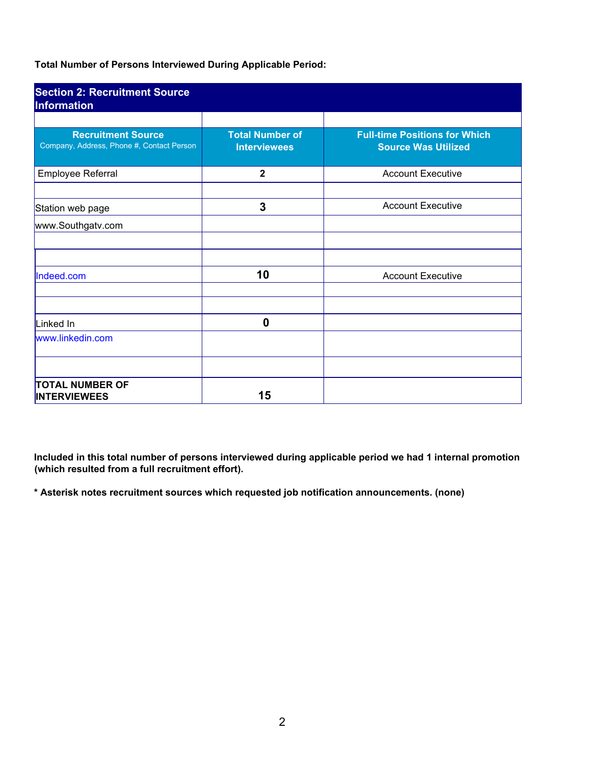**Total Number of Persons Interviewed During Applicable Period:** 

| <b>Section 2: Recruitment Source</b><br><b>Information</b>             |                                               |                                                                    |
|------------------------------------------------------------------------|-----------------------------------------------|--------------------------------------------------------------------|
| <b>Recruitment Source</b><br>Company, Address, Phone #, Contact Person | <b>Total Number of</b><br><b>Interviewees</b> | <b>Full-time Positions for Which</b><br><b>Source Was Utilized</b> |
| Employee Referral                                                      | $\mathbf{2}$                                  | <b>Account Executive</b>                                           |
| Station web page                                                       | 3                                             | <b>Account Executive</b>                                           |
| www.Southgatv.com                                                      |                                               |                                                                    |
| Indeed.com                                                             | 10                                            | <b>Account Executive</b>                                           |
|                                                                        |                                               |                                                                    |
| Linked In<br>www.linkedin.com                                          | 0                                             |                                                                    |
| <b>TOTAL NUMBER OF</b><br><b>INTERVIEWEES</b>                          | 15                                            |                                                                    |

**Included in this total number of persons interviewed during applicable period we had 1 internal promotion (which resulted from a full recruitment effort).** 

**\* Asterisk notes recruitment sources which requested job notification announcements. (none)**